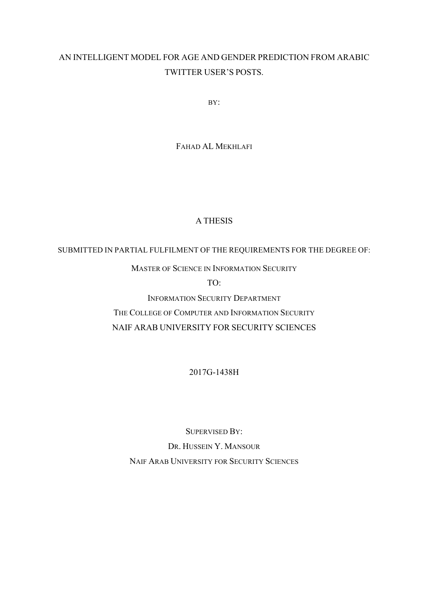#### AN INTELLIGENT MODEL FOR AGE AND GENDER PREDICTION FROM ARABIC TWITTER USER'S POSTS.

BY:

FAHAD AL MEKHLAFI

#### A THESIS

SUBMITTED IN PARTIAL FULFILMENT OF THE REQUIREMENTS FOR THE DEGREE OF:

MASTER OF SCIENCE IN INFORMATION SECURITY

 $TO<sup>2</sup>$ 

INFORMATION SECURITY DEPARTMENT THE COLLEGE OF COMPUTER AND INFORMATION SECURITY NAIF ARAB UNIVERSITY FOR SECURITY SCIENCES

2017G-1438H

SUPERVISED BY: DR. HUSSEIN Y. MANSOUR NAIF ARAB UNIVERSITY FOR SECURITY SCIENCES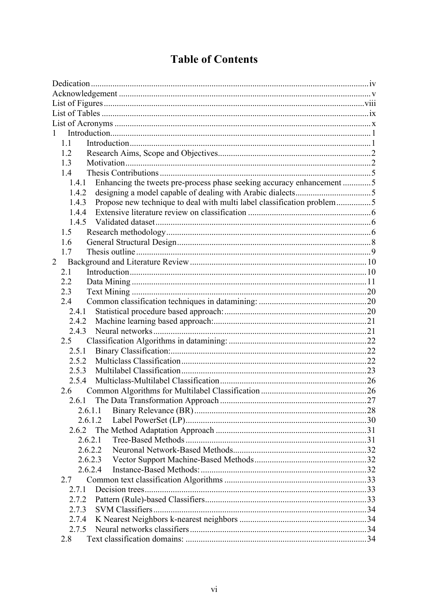## **Table of Contents**

| 1                                                                               |    |
|---------------------------------------------------------------------------------|----|
| 1.1                                                                             |    |
| 1.2                                                                             |    |
| 1.3                                                                             |    |
| 1.4                                                                             |    |
| Enhancing the tweets pre-process phase seeking accuracy enhancement 5<br>1.4.1  |    |
| 1.4.2                                                                           |    |
| Propose new technique to deal with multi label classification problem5<br>1.4.3 |    |
| 1.4.4                                                                           |    |
| 1.4.5                                                                           |    |
| 1.5                                                                             |    |
| 1.6                                                                             |    |
| 1.7                                                                             |    |
| $\overline{2}$                                                                  |    |
| 2.1                                                                             |    |
| 2.2                                                                             |    |
| 2.3                                                                             |    |
| 2.4                                                                             |    |
| 2.4.1                                                                           |    |
| 2.4.2                                                                           |    |
| 2.4.3                                                                           |    |
| 2.5                                                                             |    |
| 2.5.1                                                                           |    |
| 2.5.2                                                                           |    |
| 2.5.3                                                                           |    |
| 2.5.4                                                                           |    |
| 2.6                                                                             |    |
|                                                                                 | 27 |
|                                                                                 |    |
| 2.6.1.2                                                                         |    |
| 2.6.2                                                                           |    |
| 2.6.2.1                                                                         |    |
| 2.6.2.2                                                                         |    |
| 2.6.2.3                                                                         |    |
| 2.6.2.4                                                                         |    |
| 2.7                                                                             |    |
| 2.7.1                                                                           |    |
| 2.7.2                                                                           |    |
| 2.7.3                                                                           |    |
| 2.7.4                                                                           |    |
| 2.7.5                                                                           |    |
| 2.8                                                                             |    |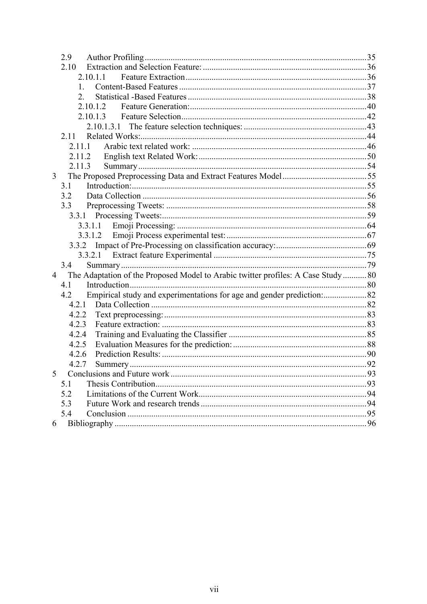|                 | 2.9                                                                              |  |
|-----------------|----------------------------------------------------------------------------------|--|
|                 | 2.10                                                                             |  |
|                 | 2.10.1.1                                                                         |  |
|                 | $1_{-}$                                                                          |  |
|                 | $\mathbf{2}$                                                                     |  |
|                 | 2.10.1.2                                                                         |  |
|                 | 2.10.1.3                                                                         |  |
|                 |                                                                                  |  |
|                 | 2.11                                                                             |  |
|                 | 2.11.1                                                                           |  |
|                 | 2.11.2                                                                           |  |
|                 | 2.11.3                                                                           |  |
| 3               |                                                                                  |  |
|                 | 3.1                                                                              |  |
|                 | 3.2                                                                              |  |
|                 | 3.3                                                                              |  |
|                 |                                                                                  |  |
|                 | 3.3.1.1                                                                          |  |
|                 |                                                                                  |  |
|                 |                                                                                  |  |
|                 |                                                                                  |  |
|                 | 3.4                                                                              |  |
| $4\overline{ }$ | The Adaptation of the Proposed Model to Arabic twitter profiles: A Case Study 80 |  |
|                 | 4.1                                                                              |  |
|                 | 4.2                                                                              |  |
|                 |                                                                                  |  |
|                 | 4.2.2                                                                            |  |
|                 | 4.2.3                                                                            |  |
|                 | 4.2.4                                                                            |  |
|                 | 4.2.5                                                                            |  |
|                 | 4.2.6                                                                            |  |
|                 | 4.2.7                                                                            |  |
| 5 <sup>5</sup>  |                                                                                  |  |
|                 | 5.1                                                                              |  |
|                 | 5.2                                                                              |  |
|                 | 5.3                                                                              |  |
|                 | 5.4                                                                              |  |
| 6               |                                                                                  |  |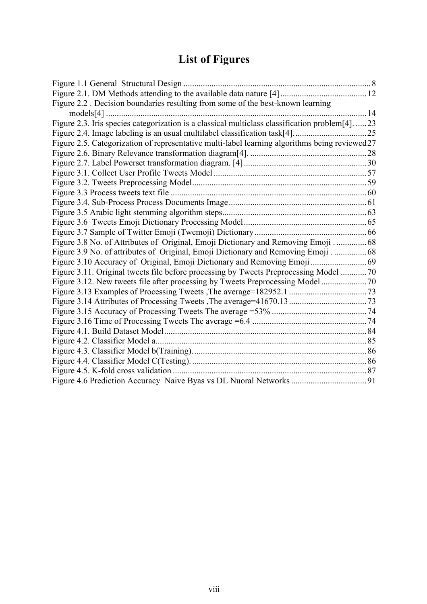# **List of Figures**

| Figure 2.2 . Decision boundaries resulting from some of the best-known learning                |  |
|------------------------------------------------------------------------------------------------|--|
| $models[4]$                                                                                    |  |
| Figure 2.3. Iris species categorization is a classical multiclass classification problem[4]23  |  |
|                                                                                                |  |
| Figure 2.5. Categorization of representative multi-label learning algorithms being reviewed 27 |  |
|                                                                                                |  |
|                                                                                                |  |
|                                                                                                |  |
|                                                                                                |  |
|                                                                                                |  |
|                                                                                                |  |
|                                                                                                |  |
|                                                                                                |  |
|                                                                                                |  |
| Figure 3.8 No. of Attributes of Original, Emoji Dictionary and Removing Emoji  68              |  |
| Figure 3.9 No. of attributes of Original, Emoji Dictionary and Removing Emoji  68              |  |
|                                                                                                |  |
| Figure 3.11. Original tweets file before processing by Tweets Preprocessing Model  70          |  |
|                                                                                                |  |
|                                                                                                |  |
|                                                                                                |  |
|                                                                                                |  |
|                                                                                                |  |
|                                                                                                |  |
|                                                                                                |  |
|                                                                                                |  |
|                                                                                                |  |
|                                                                                                |  |
|                                                                                                |  |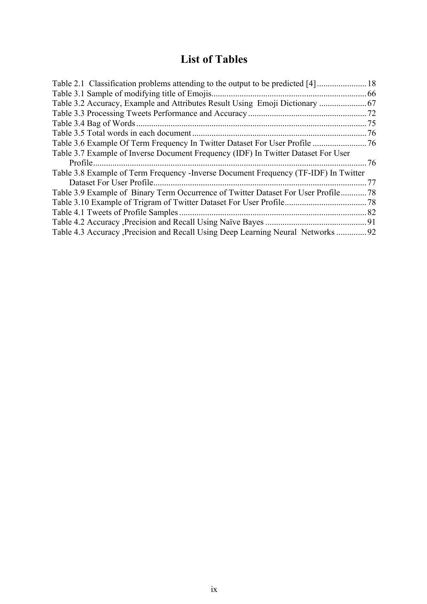### **List of Tables**

| Table 3.2 Accuracy, Example and Attributes Result Using Emoji Dictionary  67         |      |
|--------------------------------------------------------------------------------------|------|
|                                                                                      | .72  |
|                                                                                      | . 75 |
|                                                                                      | .76  |
| 76 Table 3.6 Example Of Term Frequency In Twitter Dataset For User Profile           |      |
| Table 3.7 Example of Inverse Document Frequency (IDF) In Twitter Dataset For User    |      |
| Profile.                                                                             | .76  |
| Table 3.8 Example of Term Frequency - Inverse Document Frequency (TF-IDF) In Twitter |      |
| Dataset For User Profile.                                                            | 77   |
| Table 3.9 Example of Binary Term Occurrence of Twitter Dataset For User Profile      | .78  |
|                                                                                      |      |
|                                                                                      | .82  |
|                                                                                      |      |
| 19292 Table 4.3 Accuracy Precision and Recall Using Deep Learning Neural Networks    |      |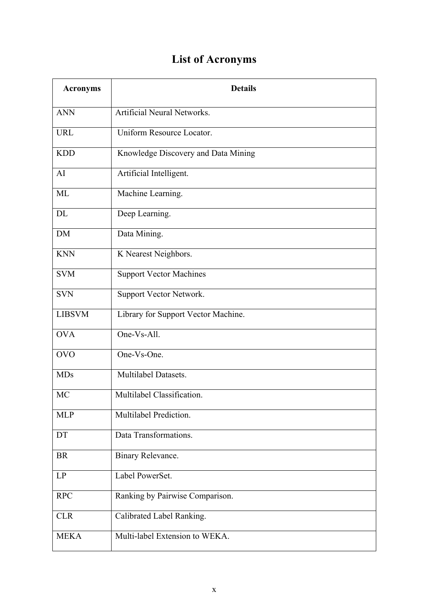# **List of Acronyms**

| <b>Acronyms</b> | <b>Details</b>                      |
|-----------------|-------------------------------------|
| <b>ANN</b>      | <b>Artificial Neural Networks.</b>  |
| <b>URL</b>      | Uniform Resource Locator.           |
| <b>KDD</b>      | Knowledge Discovery and Data Mining |
| AI              | Artificial Intelligent.             |
| ML              | Machine Learning.                   |
| DL              | Deep Learning.                      |
| <b>DM</b>       | Data Mining.                        |
| <b>KNN</b>      | K Nearest Neighbors.                |
| <b>SVM</b>      | <b>Support Vector Machines</b>      |
| <b>SVN</b>      | Support Vector Network.             |
| <b>LIBSVM</b>   | Library for Support Vector Machine. |
| <b>OVA</b>      | One-Vs-All.                         |
| <b>OVO</b>      | One-Vs-One.                         |
| <b>MDs</b>      | Multilabel Datasets.                |
| <b>MC</b>       | Multilabel Classification.          |
| <b>MLP</b>      | Multilabel Prediction.              |
| DT              | Data Transformations.               |
| <b>BR</b>       | Binary Relevance.                   |
| LP              | Label PowerSet.                     |
| <b>RPC</b>      | Ranking by Pairwise Comparison.     |
| <b>CLR</b>      | Calibrated Label Ranking.           |
| <b>MEKA</b>     | Multi-label Extension to WEKA.      |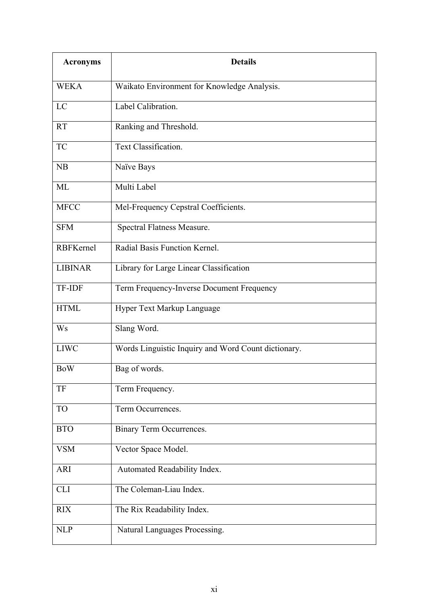| <b>Acronyms</b>  | <b>Details</b>                                      |
|------------------|-----------------------------------------------------|
| <b>WEKA</b>      | Waikato Environment for Knowledge Analysis.         |
| LC               | Label Calibration.                                  |
| <b>RT</b>        | Ranking and Threshold.                              |
| <b>TC</b>        | Text Classification.                                |
| NB               | Naïve Bays                                          |
| ML               | Multi Label                                         |
| <b>MFCC</b>      | Mel-Frequency Cepstral Coefficients.                |
| <b>SFM</b>       | Spectral Flatness Measure.                          |
| <b>RBFKernel</b> | Radial Basis Function Kernel.                       |
| <b>LIBINAR</b>   | Library for Large Linear Classification             |
| <b>TF-IDF</b>    | Term Frequency-Inverse Document Frequency           |
| <b>HTML</b>      | Hyper Text Markup Language                          |
| <b>Ws</b>        | Slang Word.                                         |
| <b>LIWC</b>      | Words Linguistic Inquiry and Word Count dictionary. |
| <b>BoW</b>       | Bag of words.                                       |
| TF               | Term Frequency.                                     |
| <b>TO</b>        | Term Occurrences.                                   |
| <b>BTO</b>       | Binary Term Occurrences.                            |
| <b>VSM</b>       | Vector Space Model.                                 |
| <b>ARI</b>       | Automated Readability Index.                        |
| <b>CLI</b>       | The Coleman-Liau Index.                             |
| <b>RIX</b>       | The Rix Readability Index.                          |
| <b>NLP</b>       | Natural Languages Processing.                       |